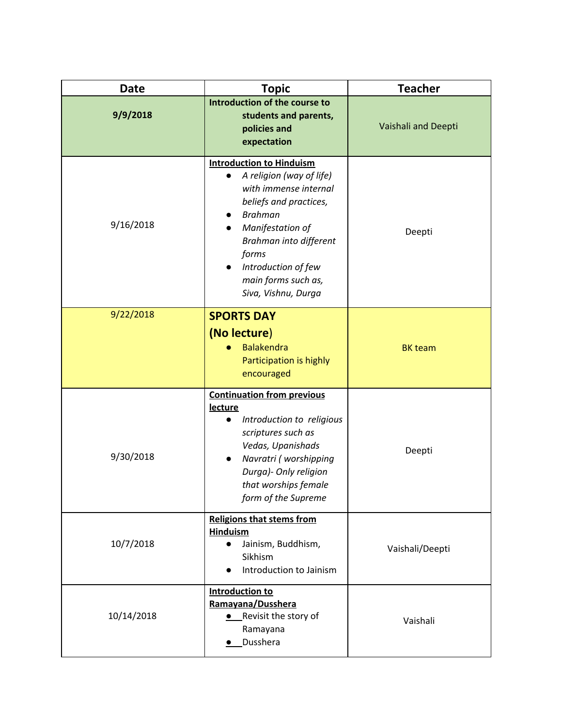| <b>Date</b> | <b>Topic</b>                                                                                                                                                                                                                                                              | <b>Teacher</b>      |
|-------------|---------------------------------------------------------------------------------------------------------------------------------------------------------------------------------------------------------------------------------------------------------------------------|---------------------|
| 9/9/2018    | Introduction of the course to<br>students and parents,<br>policies and<br>expectation                                                                                                                                                                                     | Vaishali and Deepti |
| 9/16/2018   | <b>Introduction to Hinduism</b><br>A religion (way of life)<br>$\bullet$<br>with immense internal<br>beliefs and practices,<br><b>Brahman</b><br>Manifestation of<br>Brahman into different<br>forms<br>Introduction of few<br>main forms such as,<br>Siva, Vishnu, Durga | Deepti              |
| 9/22/2018   | <b>SPORTS DAY</b><br>(No lecture)<br><b>Balakendra</b><br>Participation is highly<br>encouraged                                                                                                                                                                           | <b>BK</b> team      |
| 9/30/2018   | <b>Continuation from previous</b><br>lecture<br>Introduction to religious<br>scriptures such as<br>Vedas, Upanishads<br>Navratri (worshipping<br>Durga)- Only religion<br>that worships female<br>form of the Supreme                                                     | Deepti              |
| 10/7/2018   | <b>Religions that stems from</b><br><b>Hinduism</b><br>Jainism, Buddhism,<br>$\bullet$<br>Sikhism<br>Introduction to Jainism<br>$\bullet$                                                                                                                                 | Vaishali/Deepti     |
| 10/14/2018  | <b>Introduction to</b><br>Ramayana/Dusshera<br>• Revisit the story of<br>Ramayana<br>· Dusshera                                                                                                                                                                           | Vaishali            |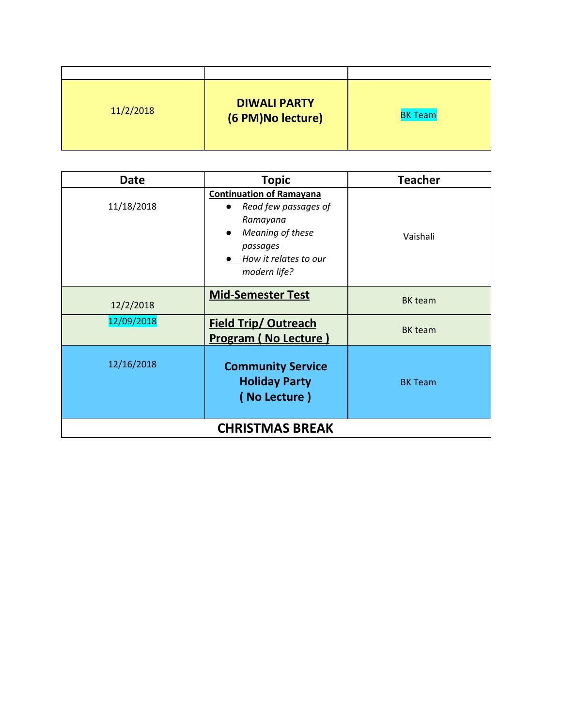| 11/2/2018 | <b>DIWALI PARTY</b><br>(6 PM)No lecture) | <b>BK Team</b> |
|-----------|------------------------------------------|----------------|

| <b>Date</b>            | <b>Topic</b>                                                                                                                                 | <b>Teacher</b> |
|------------------------|----------------------------------------------------------------------------------------------------------------------------------------------|----------------|
| 11/18/2018             | <b>Continuation of Ramayana</b><br>Read few passages of<br>Ramayana<br>Meaning of these<br>passages<br>How it relates to our<br>modern life? | Vaishali       |
| 12/2/2018              | <b>Mid-Semester Test</b>                                                                                                                     | BK team        |
| 12/09/2018             | <b>Field Trip/ Outreach</b><br><b>Program (No Lecture)</b>                                                                                   | BK team        |
| 12/16/2018             | <b>Community Service</b><br><b>Holiday Party</b><br>(No Lecture)                                                                             | <b>BK Team</b> |
| <b>CHRISTMAS BREAK</b> |                                                                                                                                              |                |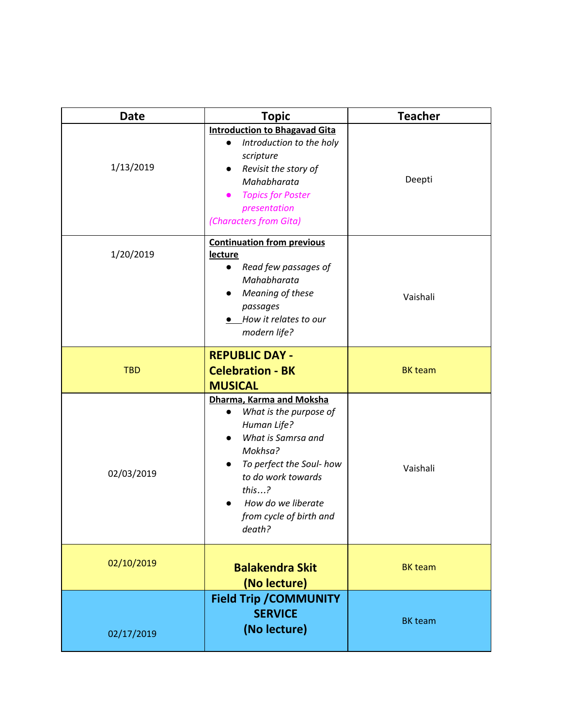| <b>Date</b> | <b>Topic</b>                                                                                                                                                                                                             | <b>Teacher</b> |
|-------------|--------------------------------------------------------------------------------------------------------------------------------------------------------------------------------------------------------------------------|----------------|
| 1/13/2019   | <b>Introduction to Bhagavad Gita</b><br>Introduction to the holy<br>scripture<br>Revisit the story of<br>Mahabharata<br><b>Topics for Poster</b><br>presentation<br>(Characters from Gita)                               | Deepti         |
| 1/20/2019   | <b>Continuation from previous</b><br><b>lecture</b><br>Read few passages of<br>Mahabharata<br>Meaning of these<br>passages<br>How it relates to our<br>modern life?                                                      | Vaishali       |
| <b>TBD</b>  | <b>REPUBLIC DAY -</b><br><b>Celebration - BK</b><br><b>MUSICAL</b>                                                                                                                                                       | <b>BK</b> team |
| 02/03/2019  | Dharma, Karma and Moksha<br>What is the purpose of<br>Human Life?<br>What is Samrsa and<br>Mokhsa?<br>To perfect the Soul- how<br>to do work towards<br>this?<br>How do we liberate<br>from cycle of birth and<br>death? | Vaishali       |
| 02/10/2019  | <b>Balakendra Skit</b><br>(No lecture)                                                                                                                                                                                   | <b>BK</b> team |
| 02/17/2019  | <b>Field Trip / COMMUNITY</b><br><b>SERVICE</b><br>(No lecture)                                                                                                                                                          | <b>BK</b> team |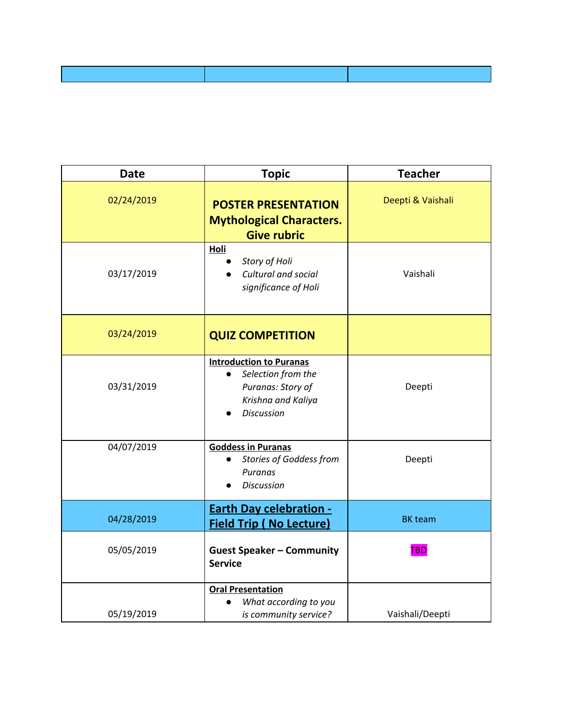| <b>Date</b> | <b>Topic</b>                                                                                                                      | <b>Teacher</b>    |
|-------------|-----------------------------------------------------------------------------------------------------------------------------------|-------------------|
| 02/24/2019  | <b>POSTER PRESENTATION</b><br><b>Mythological Characters.</b><br><b>Give rubric</b>                                               | Deepti & Vaishali |
| 03/17/2019  | Holi<br>Story of Holi<br>Cultural and social<br>significance of Holi                                                              | Vaishali          |
| 03/24/2019  | <b>QUIZ COMPETITION</b>                                                                                                           |                   |
| 03/31/2019  | <b>Introduction to Puranas</b><br>Selection from the<br>$\bullet$<br>Puranas: Story of<br>Krishna and Kaliya<br><b>Discussion</b> | Deepti            |
| 04/07/2019  | <b>Goddess in Puranas</b><br>Stories of Goddess from<br>Puranas<br><b>Discussion</b>                                              | Deepti            |
| 04/28/2019  | <b>Earth Day celebration -</b><br><b>Field Trip (No Lecture)</b>                                                                  | <b>BK</b> team    |
| 05/05/2019  | <b>Guest Speaker - Community</b><br><b>Service</b>                                                                                | <b>TBD</b>        |
| 05/19/2019  | <b>Oral Presentation</b><br>What according to you<br>is community service?                                                        | Vaishali/Deepti   |